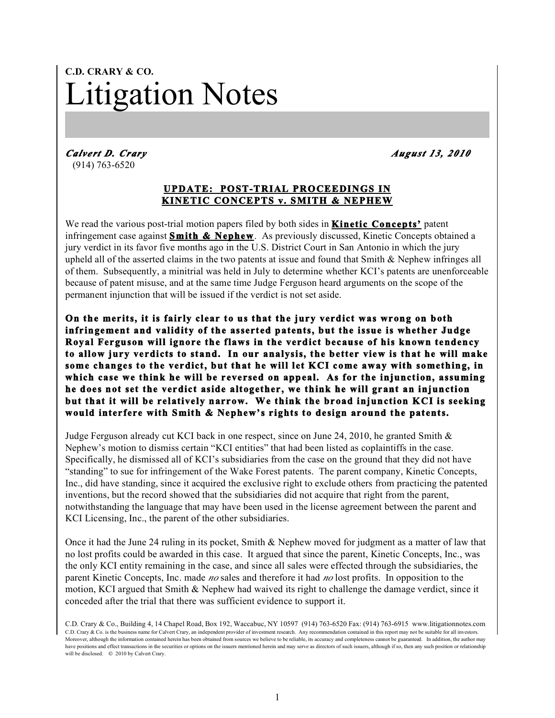## **C.D. CRARY & CO.** Litigation Notes

*Calvert D. Crary August 13, 2010*  (914) 763-6520

## **UPDATE: POST-TRIAL PROCEEDINGS IN KINETIC CONCEPTS v. SMITH & NEPHEW**

We read the various post-trial motion papers filed by both sides in **Kinetic Concepts'** patent infringement case against **Smith & Nephew**. As previously discussed, Kinetic Concepts obtained a jury verdict in its favor five months ago in the U.S. District Court in San Antonio in which the jury upheld all of the asserted claims in the two patents at issue and found that Smith & Nephew infringes all of them. Subsequently, a minitrial was held in July to determine whether KCI's patents are unenforceable because of patent misuse, and at the same time Judge Ferguson heard arguments on the scope of the permanent injunction that will be issued if the verdict is not set aside.

**On the merits, it is fairly clear to us that the jury verdict was wrong on both infringement and validity of the asserted patents, but the issue is whether Judge Royal Ferguson will ignore the flaws in the verdict because of his known tendency to allow jury verdicts to stand. In our analysis, the better view is that he will make some changes to the verdict, but that he will let KCI come away with something, in which case we think he will be reversed on appeal. As for the injunction, assuming he does not set the verdict aside altogether, we think he will grant an injunction but that it will be relatively narrow. We think the broad injunction KCI is seeking would interfere with Smith & Nephew's rights to design around the patents.** 

Judge Ferguson already cut KCI back in one respect, since on June 24, 2010, he granted Smith & Nephew's motion to dismiss certain "KCI entities" that had been listed as coplaintiffs in the case. Specifically, he dismissed all of KCI's subsidiaries from the case on the ground that they did not have "standing" to sue for infringement of the Wake Forest patents. The parent company, Kinetic Concepts, Inc., did have standing, since it acquired the exclusive right to exclude others from practicing the patented inventions, but the record showed that the subsidiaries did not acquire that right from the parent, notwithstanding the language that may have been used in the license agreement between the parent and KCI Licensing, Inc., the parent of the other subsidiaries.

Once it had the June 24 ruling in its pocket, Smith & Nephew moved for judgment as a matter of law that no lost profits could be awarded in this case. It argued that since the parent, Kinetic Concepts, Inc., was the only KCI entity remaining in the case, and since all sales were effected through the subsidiaries, the parent Kinetic Concepts, Inc. made *no* sales and therefore it had *no* lost profits. In opposition to the motion, KCI argued that Smith & Nephew had waived its right to challenge the damage verdict, since it conceded after the trial that there was sufficient evidence to support it.

C.D. Crary & Co., Building 4, 14 Chapel Road, Box 192, Waccabuc, NY 10597 (914) 763-6520 Fax: (914) 763-6915 www.litigationnotes.com C.D. Crary & Co. is the business name for Calvert Crary, an independent provider of investment research. Any recommendation contained in this report may not be suitable for all investors. Moreover, although the information contained herein has been obtained from sources we believe to be reliable, its accuracy and completeness cannot be guaranteed. In addition, the author may have positions and effect transactions in the securities or options on the issuers mentioned herein and may serve as directors of such issuers, although if so, then any such position or relationship will be disclosed.  $\oslash$  2010 by Calvert Crary.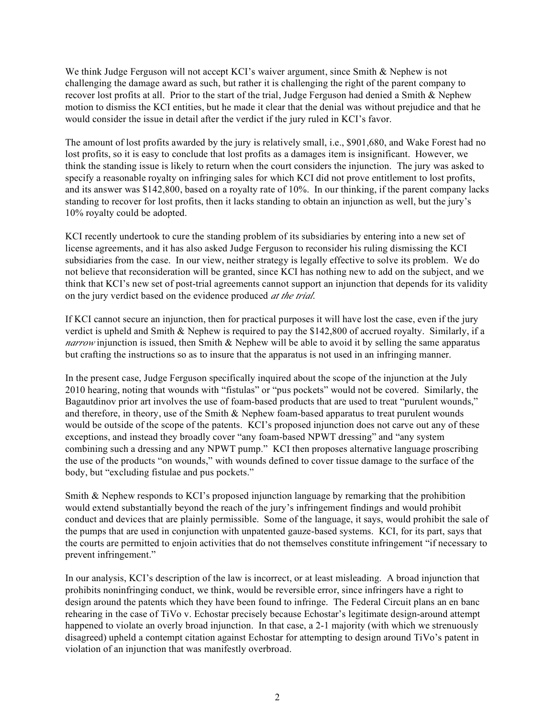We think Judge Ferguson will not accept KCI's waiver argument, since Smith & Nephew is not challenging the damage award as such, but rather it is challenging the right of the parent company to recover lost profits at all. Prior to the start of the trial, Judge Ferguson had denied a Smith & Nephew motion to dismiss the KCI entities, but he made it clear that the denial was without prejudice and that he would consider the issue in detail after the verdict if the jury ruled in KCI's favor.

The amount of lost profits awarded by the jury is relatively small, i.e., \$901,680, and Wake Forest had no lost profits, so it is easy to conclude that lost profits as a damages item is insignificant. However, we think the standing issue is likely to return when the court considers the injunction. The jury was asked to specify a reasonable royalty on infringing sales for which KCI did not prove entitlement to lost profits, and its answer was \$142,800, based on a royalty rate of 10%. In our thinking, if the parent company lacks standing to recover for lost profits, then it lacks standing to obtain an injunction as well, but the jury's 10% royalty could be adopted.

KCI recently undertook to cure the standing problem of its subsidiaries by entering into a new set of license agreements, and it has also asked Judge Ferguson to reconsider his ruling dismissing the KCI subsidiaries from the case. In our view, neither strategy is legally effective to solve its problem. We do not believe that reconsideration will be granted, since KCI has nothing new to add on the subject, and we think that KCI's new set of post-trial agreements cannot support an injunction that depends for its validity on the jury verdict based on the evidence produced *at the trial*.

If KCI cannot secure an injunction, then for practical purposes it will have lost the case, even if the jury verdict is upheld and Smith & Nephew is required to pay the \$142,800 of accrued royalty. Similarly, if a *narrow* injunction is issued, then Smith & Nephew will be able to avoid it by selling the same apparatus but crafting the instructions so as to insure that the apparatus is not used in an infringing manner.

In the present case, Judge Ferguson specifically inquired about the scope of the injunction at the July 2010 hearing, noting that wounds with "fistulas" or "pus pockets" would not be covered. Similarly, the Bagautdinov prior art involves the use of foam-based products that are used to treat "purulent wounds," and therefore, in theory, use of the Smith & Nephew foam-based apparatus to treat purulent wounds would be outside of the scope of the patents. KCI's proposed injunction does not carve out any of these exceptions, and instead they broadly cover "any foam-based NPWT dressing" and "any system combining such a dressing and any NPWT pump." KCI then proposes alternative language proscribing the use of the products "on wounds," with wounds defined to cover tissue damage to the surface of the body, but "excluding fistulae and pus pockets."

Smith & Nephew responds to KCI's proposed injunction language by remarking that the prohibition would extend substantially beyond the reach of the jury's infringement findings and would prohibit conduct and devices that are plainly permissible. Some of the language, it says, would prohibit the sale of the pumps that are used in conjunction with unpatented gauze-based systems. KCI, for its part, says that the courts are permitted to enjoin activities that do not themselves constitute infringement "if necessary to prevent infringement."

In our analysis, KCI's description of the law is incorrect, or at least misleading. A broad injunction that prohibits noninfringing conduct, we think, would be reversible error, since infringers have a right to design around the patents which they have been found to infringe. The Federal Circuit plans an en banc rehearing in the case of TiVo v. Echostar precisely because Echostar's legitimate design-around attempt happened to violate an overly broad injunction. In that case, a 2-1 majority (with which we strenuously disagreed) upheld a contempt citation against Echostar for attempting to design around TiVo's patent in violation of an injunction that was manifestly overbroad.